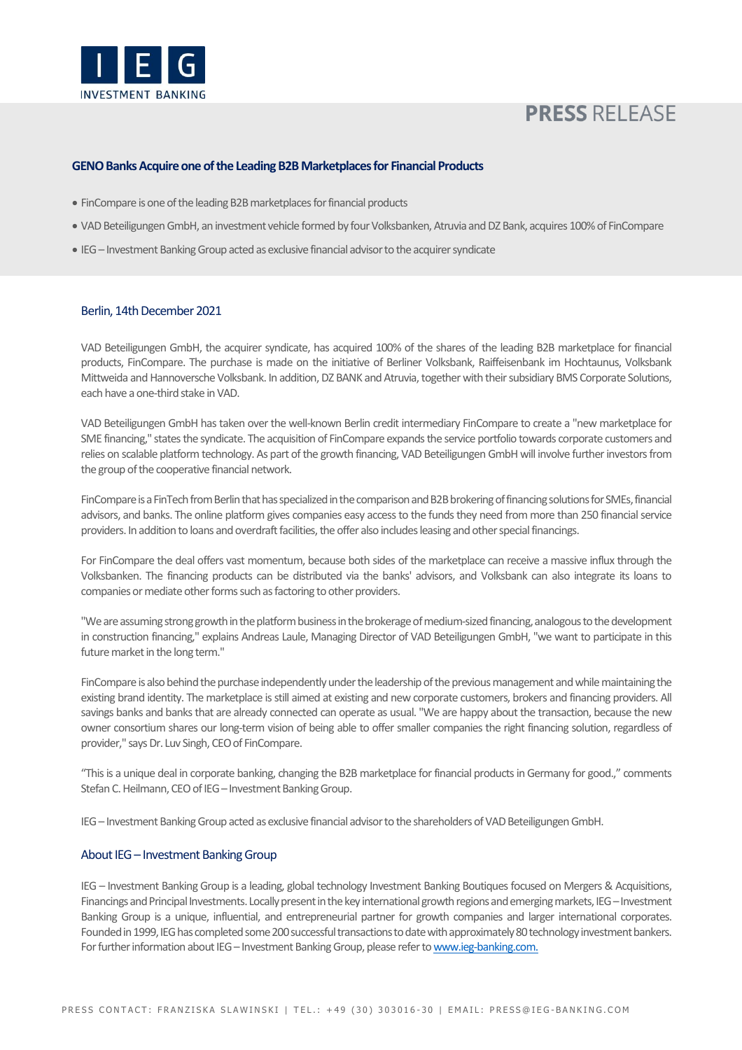

# **PRESS RELEASE**

## **GENO Banks Acquire one of the Leading B2B Marketplacesfor Financial Products**

- FinCompare is one of the leading B2B marketplaces for financial products
- VAD Beteiligungen GmbH, an investment vehicle formed by fourVolksbanken, Atruvia and DZ Bank, acquires 100% of FinCompare
- IEG Investment Banking Group acted as exclusive financial advisor to the acquirer syndicate

#### Berlin, 14th December 2021

VAD Beteiligungen GmbH, the acquirer syndicate, has acquired 100% of the shares of the leading B2B marketplace for financial products, FinCompare. The purchase is made on the initiative of Berliner Volksbank, Raiffeisenbank im Hochtaunus, Volksbank Mittweida and Hannoversche Volksbank. In addition, DZ BANK and Atruvia, together with their subsidiary BMS Corporate Solutions, each have a one-third stake in VAD.

VAD Beteiligungen GmbH has taken over the well-known Berlin credit intermediary FinCompare to create a "new marketplace for SME financing," states the syndicate. The acquisition of FinCompare expands the service portfolio towards corporate customers and relies on scalable platform technology. As part of the growth financing, VAD Beteiligungen GmbH will involve further investors from the group of the cooperative financial network.

FinCompare is aFinTech from Berlin that has specialized in the comparison and B2B brokering of financing solutions for SMEs, financial advisors, and banks. The online platform gives companies easy access to the funds they need from more than 250 financial service providers. In addition to loans and overdraft facilities, the offer also includes leasing and other special financings.

For FinCompare the deal offers vast momentum, because both sides of the marketplace can receive a massive influx through the Volksbanken. The financing products can be distributed via the banks' advisors, and Volksbank can also integrate its loans to companies or mediate other forms such as factoring to other providers.

"We are assuming strong growth in the platform business in the brokerage of medium-sized financing, analogous to the development in construction financing," explains Andreas Laule, Managing Director of VAD Beteiligungen GmbH, "we want to participate in this future market in the long term."

FinCompare is also behind the purchase independently under the leadership of the previous management and while maintaining the existing brand identity. The marketplace is still aimed at existing and new corporate customers, brokers and financing providers. All savings banks and banks that are already connected can operate as usual. "We are happy about the transaction, because the new owner consortium shares our long-term vision of being able to offer smaller companies the right financing solution, regardless of provider," says Dr. Luv Singh, CEO of FinCompare.

"This is a unique deal in corporate banking, changing the B2B marketplace for financial products in Germany for good.," comments Stefan C. Heilmann, CEO of IEG - Investment Banking Group.

IEG – Investment Banking Group acted as exclusive financial advisor to the shareholders of VAD Beteiligungen GmbH.

## About IEG – Investment Banking Group

IEG – Investment Banking Group is a leading, global technology Investment Banking Boutiques focused on Mergers & Acquisitions, Financings and Principal Investments. Locally present in the key international growth regions and emerging markets, IEG - Investment Banking Group is a unique, influential, and entrepreneurial partner for growth companies and larger international corporates. Founded in 1999, IEG has completed some 200successful transactions to date with approximately 80 technology investment bankers. For further information about IEG - Investment Banking Group, please refer to www.ieg-banking.com.